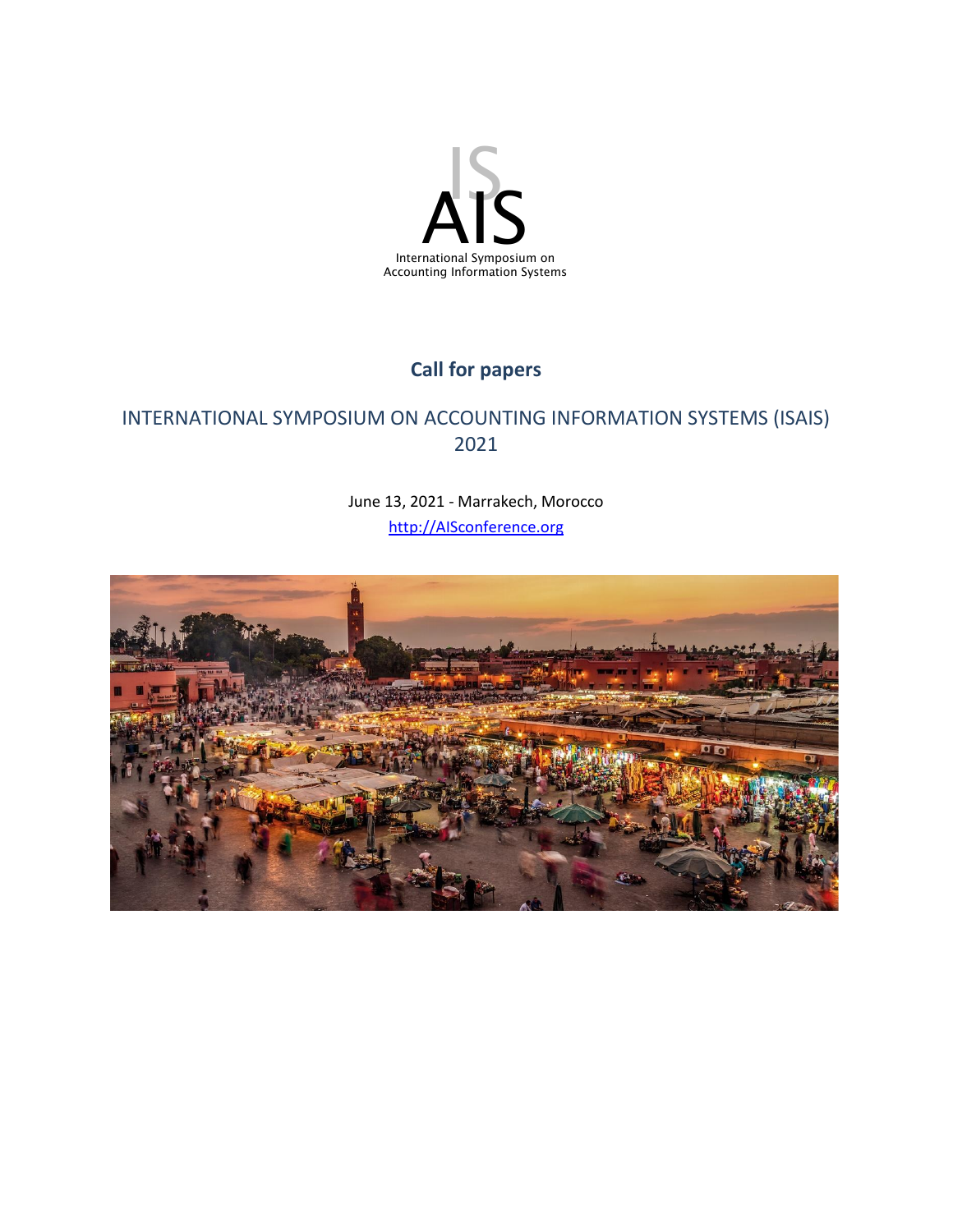

# **Call for papers**

# INTERNATIONAL SYMPOSIUM ON ACCOUNTING INFORMATION SYSTEMS (ISAIS) 2021

June 13, 2021 - Marrakech, Morocco [http://AISconference.org](http://aisconference.org/)

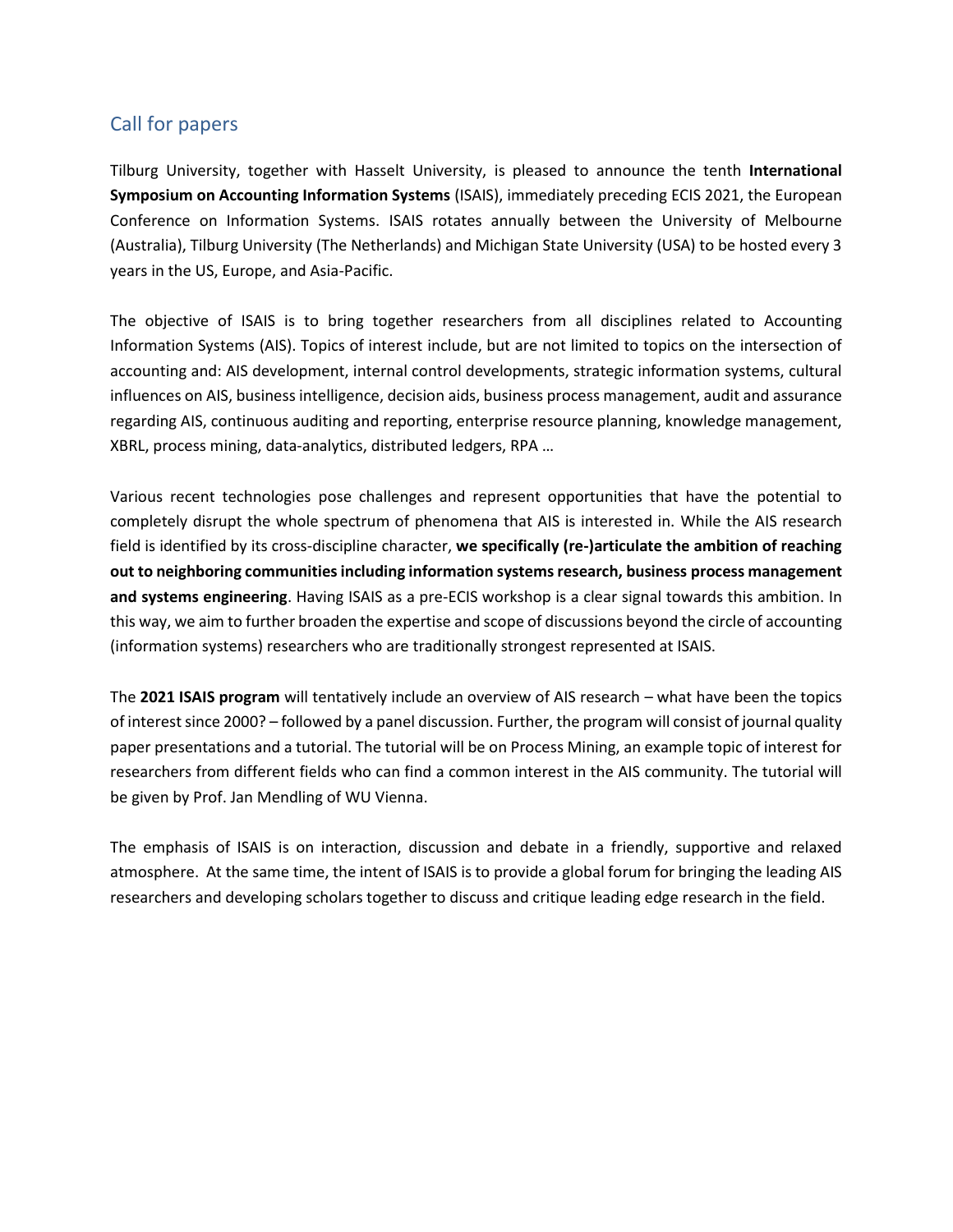## Call for papers

Tilburg University, together with Hasselt University, is pleased to announce the tenth **International Symposium on Accounting Information Systems** (ISAIS), immediately preceding ECIS 2021, the European Conference on Information Systems. ISAIS rotates annually between the University of Melbourne (Australia), Tilburg University (The Netherlands) and Michigan State University (USA) to be hosted every 3 years in the US, Europe, and Asia-Pacific.

The objective of ISAIS is to bring together researchers from all disciplines related to Accounting Information Systems (AIS). Topics of interest include, but are not limited to topics on the intersection of accounting and: AIS development, internal control developments, strategic information systems, cultural influences on AIS, business intelligence, decision aids, business process management, audit and assurance regarding AIS, continuous auditing and reporting, enterprise resource planning, knowledge management, XBRL, process mining, data-analytics, distributed ledgers, RPA …

Various recent technologies pose challenges and represent opportunities that have the potential to completely disrupt the whole spectrum of phenomena that AIS is interested in. While the AIS research field is identified by its cross-discipline character, **we specifically (re-)articulate the ambition of reaching out to neighboring communities including information systems research, business process management and systems engineering**. Having ISAIS as a pre-ECIS workshop is a clear signal towards this ambition. In this way, we aim to further broaden the expertise and scope of discussions beyond the circle of accounting (information systems) researchers who are traditionally strongest represented at ISAIS.

The **2021 ISAIS program** will tentatively include an overview of AIS research – what have been the topics of interest since 2000? – followed by a panel discussion. Further, the program will consist of journal quality paper presentations and a tutorial. The tutorial will be on Process Mining, an example topic of interest for researchers from different fields who can find a common interest in the AIS community. The tutorial will be given by Prof. Jan Mendling of WU Vienna.

The emphasis of ISAIS is on interaction, discussion and debate in a friendly, supportive and relaxed atmosphere. At the same time, the intent of ISAIS is to provide a global forum for bringing the leading AIS researchers and developing scholars together to discuss and critique leading edge research in the field.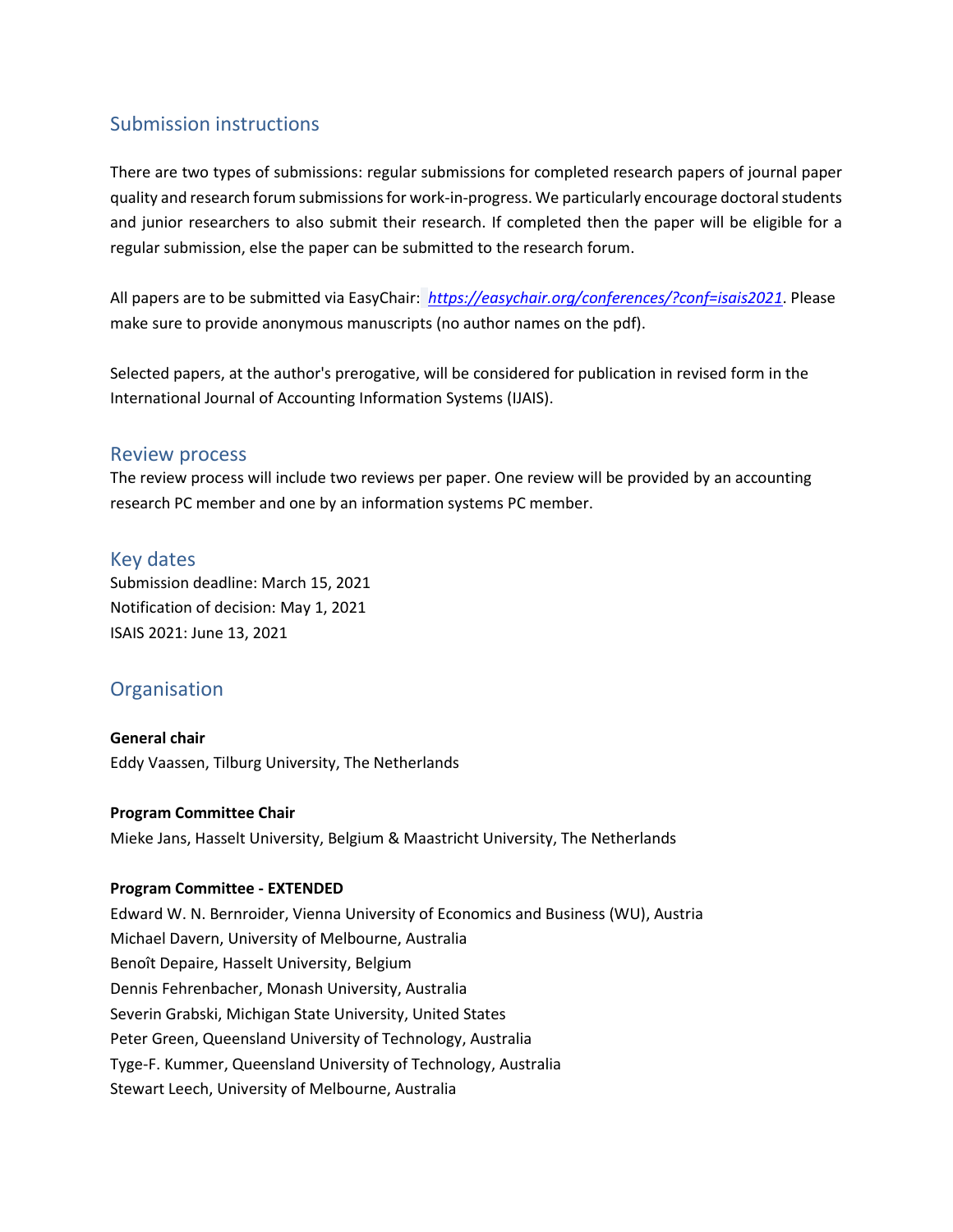## Submission instructions

There are two types of submissions: regular submissions for completed research papers of journal paper quality and research forum submissions for work-in-progress. We particularly encourage doctoral students and junior researchers to also submit their research. If completed then the paper will be eligible for a regular submission, else the paper can be submitted to the research forum.

All papers are to be submitted via EasyChair: *[https://easychair.org/conferences/?conf=isais2021](https://easychair.org/conferences/?conf=isais2020)*. Please make sure to provide anonymous manuscripts (no author names on the pdf).

Selected papers, at the author's prerogative, will be considered for publication in revised form in the International Journal of Accounting Information Systems (IJAIS).

### Review process

The review process will include two reviews per paper. One review will be provided by an accounting research PC member and one by an information systems PC member.

### Key dates

Submission deadline: March 15, 2021 Notification of decision: May 1, 2021 ISAIS 2021: June 13, 2021

## **Organisation**

**General chair** Eddy Vaassen, Tilburg University, The Netherlands

#### **Program Committee Chair**

Mieke Jans, Hasselt University, Belgium & Maastricht University, The Netherlands

#### **Program Committee - EXTENDED**

Edward W. N. Bernroider, Vienna University of Economics and Business (WU), Austria Michael Davern, University of Melbourne, Australia Benoît Depaire, Hasselt University, Belgium Dennis Fehrenbacher, Monash University, Australia Severin Grabski, Michigan State University, United States Peter Green, Queensland University of Technology, Australia Tyge-F. Kummer, Queensland University of Technology, Australia Stewart Leech, University of Melbourne, Australia